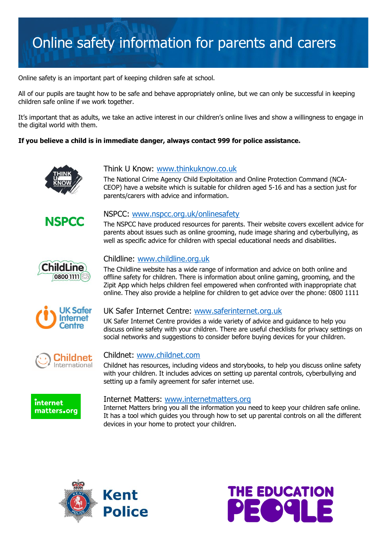# Online safety information for parents and carers

Online safety is an important part of keeping children safe at school.

All of our pupils are taught how to be safe and behave appropriately online, but we can only be successful in keeping children safe online if we work together.

It's important that as adults, we take an active interest in our children's online lives and show a willingness to engage in the digital world with them.

#### **If you believe a child is in immediate danger, always contact 999 for police assistance.**



### Think U Know: [www.thinkuknow.co.uk](http://www.thinkuknow.co.uk/)

The National Crime Agency Child Exploitation and Online Protection Command (NCA-CEOP) have a website which is suitable for children aged 5-16 and has a section just for parents/carers with advice and information.



#### NSPCC: [www.nspcc.org.uk/onlinesafety](http://www.nspcc.org.uk/onlinesafety)

The NSPCC have produced resources for parents. Their website covers excellent advice for parents about issues such as online grooming, nude image sharing and cyberbullying, as well as specific advice for children with special educational needs and disabilities.



#### Childline: [www.childline.org.uk](http://www.childline.org.uk/)

The Childline website has a wide range of information and advice on both online and offline safety for children. There is information about online gaming, grooming, and the Zipit App which helps children feel empowered when confronted with inappropriate chat online. They also provide a helpline for children to get advice over the phone: 0800 1111



#### UK Safer Internet Centre: [www.saferinternet.org.uk](http://www.saferinternet.org.uk/)

UK Safer Internet Centre provides a wide variety of advice and guidance to help you discuss online safety with your children. There are useful checklists for privacy settings on social networks and suggestions to consider before buying devices for your children.



#### Childnet: [www.childnet.com](http://www.childnet.com/)

Childnet has resources, including videos and storybooks, to help you discuss online safety with your children. It includes advices on setting up parental controls, cyberbullying and setting up a family agreement for safer internet use.



#### Internet Matters: [www.internetmatters.org](http://www.internetmatters.org/)

Internet Matters bring you all the information you need to keep your children safe online. It has a tool which guides you through how to set up parental controls on all the different devices in your home to protect your children.